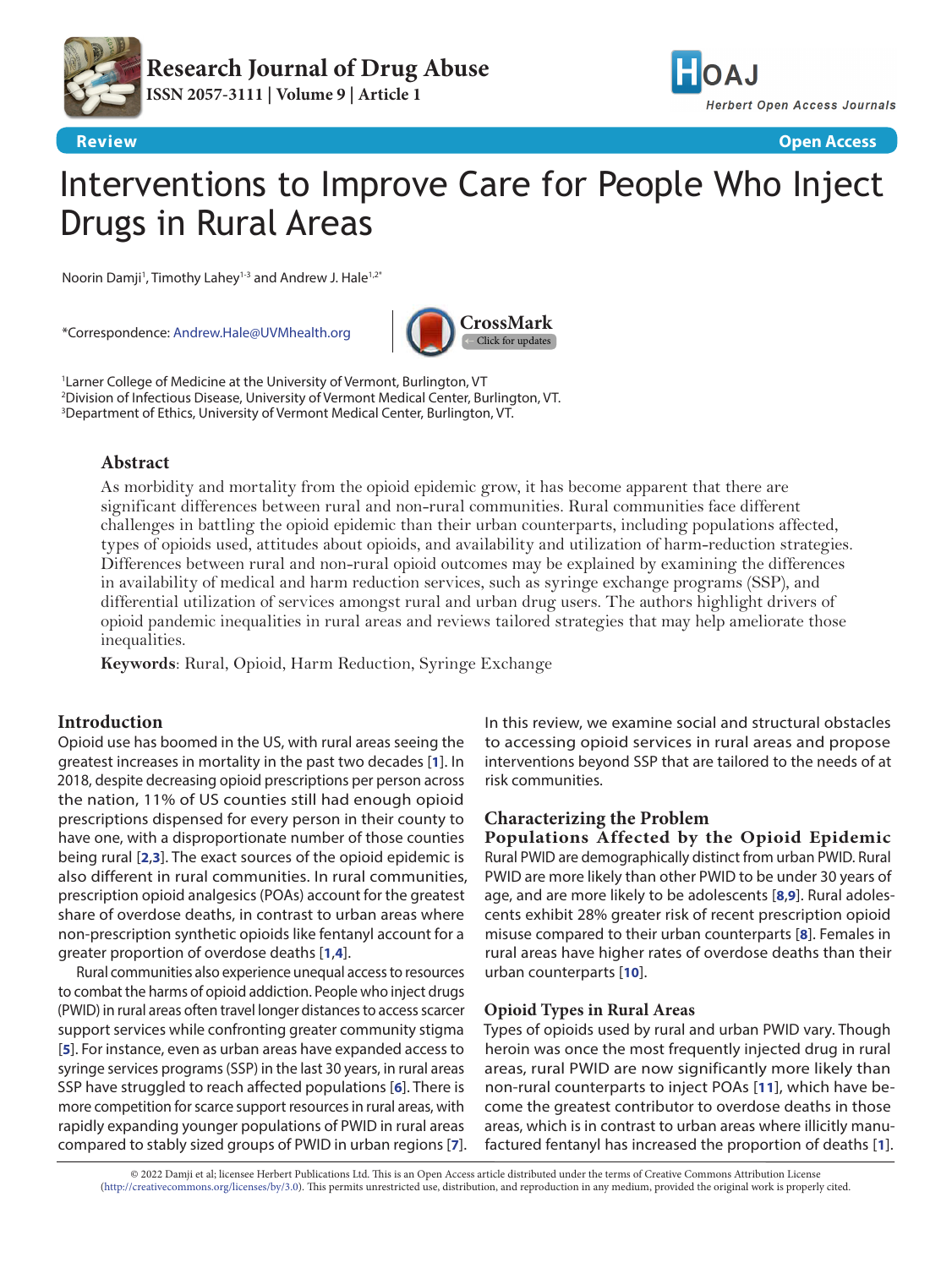



**Review Open Access**

# Interventions to Improve Care for People Who Inject Drugs in Rural Areas

Noorin Damji<sup>1</sup>, Timothy Lahey<sup>1-3</sup> and Andrew J. Hale<sup>1,2\*</sup>

\*Correspondence: [Andrew.Hale@UVMhealth.org](mailto:Andrew.Hale%40UVMhealth.org?subject=)



1 Larner College of Medicine at the University of Vermont, Burlington, VT 2 Division of Infectious Disease, University of Vermont Medical Center, Burlington, VT. 3 Department of Ethics, University of Vermont Medical Center, Burlington, VT.

# **Abstract**

As morbidity and mortality from the opioid epidemic grow, it has become apparent that there are significant differences between rural and non-rural communities. Rural communities face different challenges in battling the opioid epidemic than their urban counterparts, including populations affected, types of opioids used, attitudes about opioids, and availability and utilization of harm-reduction strategies. Differences between rural and non-rural opioid outcomes may be explained by examining the differences in availability of medical and harm reduction services, such as syringe exchange programs (SSP), and differential utilization of services amongst rural and urban drug users. The authors highlight drivers of opioid pandemic inequalities in rural areas and reviews tailored strategies that may help ameliorate those inequalities.

**Keywords**: Rural, Opioid, Harm Reduction, Syringe Exchange

# **Introduction**

Opioid use has boomed in the US, with rural areas seeing the greatest increases in mortality in the past two decades [**[1](#page-4-0)**]. In 2018, despite decreasing opioid prescriptions per person across the nation, 11% of US counties still had enough opioid prescriptions dispensed for every person in their county to have one, with a disproportionate number of those counties being rural [**[2](#page-4-1)**,**[3](#page-4-2)**]. The exact sources of the opioid epidemic is also different in rural communities. In rural communities, prescription opioid analgesics (POAs) account for the greatest share of overdose deaths, in contrast to urban areas where non-prescription synthetic opioids like fentanyl account for a greater proportion of overdose deaths [**[1](#page-4-0)**,**[4](#page-4-3)**].

Rural communities also experience unequal access to resources to combat the harms of opioid addiction. People who inject drugs (PWID) in rural areas often travel longer distances to access scarcer support services while confronting greater community stigma [**[5](#page-4-4)**]. For instance, even as urban areas have expanded access to syringe services programs (SSP) in the last 30 years, in rural areas SSP have struggled to reach affected populations [**[6](#page-4-5)**]. There is more competition for scarce support resources in rural areas, with rapidly expanding younger populations of PWID in rural areas compared to stably sized groups of PWID in urban regions [**[7](#page-4-6)**]. In this review, we examine social and structural obstacles to accessing opioid services in rural areas and propose interventions beyond SSP that are tailored to the needs of at risk communities.

# **Characterizing the Problem**

**Populations Affected by the Opioid Epidemic** Rural PWID are demographically distinct from urban PWID. Rural PWID are more likely than other PWID to be under 30 years of age, and are more likely to be adolescents [**[8](#page-4-7)**,**[9](#page-4-8)**]. Rural adolescents exhibit 28% greater risk of recent prescription opioid misuse compared to their urban counterparts [**[8](#page-4-7)**]. Females in rural areas have higher rates of overdose deaths than their urban counterparts [**[10](#page-4-9)**].

## **Opioid Types in Rural Areas**

Types of opioids used by rural and urban PWID vary. Though heroin was once the most frequently injected drug in rural areas, rural PWID are now significantly more likely than non-rural counterparts to inject POAs [**[11](#page-4-10)**], which have become the greatest contributor to overdose deaths in those areas, which is in contrast to urban areas where illicitly manufactured fentanyl has increased the proportion of deaths [**[1](#page-4-0)**].

© 2022 Damji et al; licensee Herbert Publications Ltd. This is an Open Access article distributed under the terms of Creative Commons Attribution License [\(http://creativecommons.org/licenses/by/3.0\)](http://creativecommons.org/licenses/by/3.0). This permits unrestricted use, distribution, and reproduction in any medium, provided the original work is properly cited.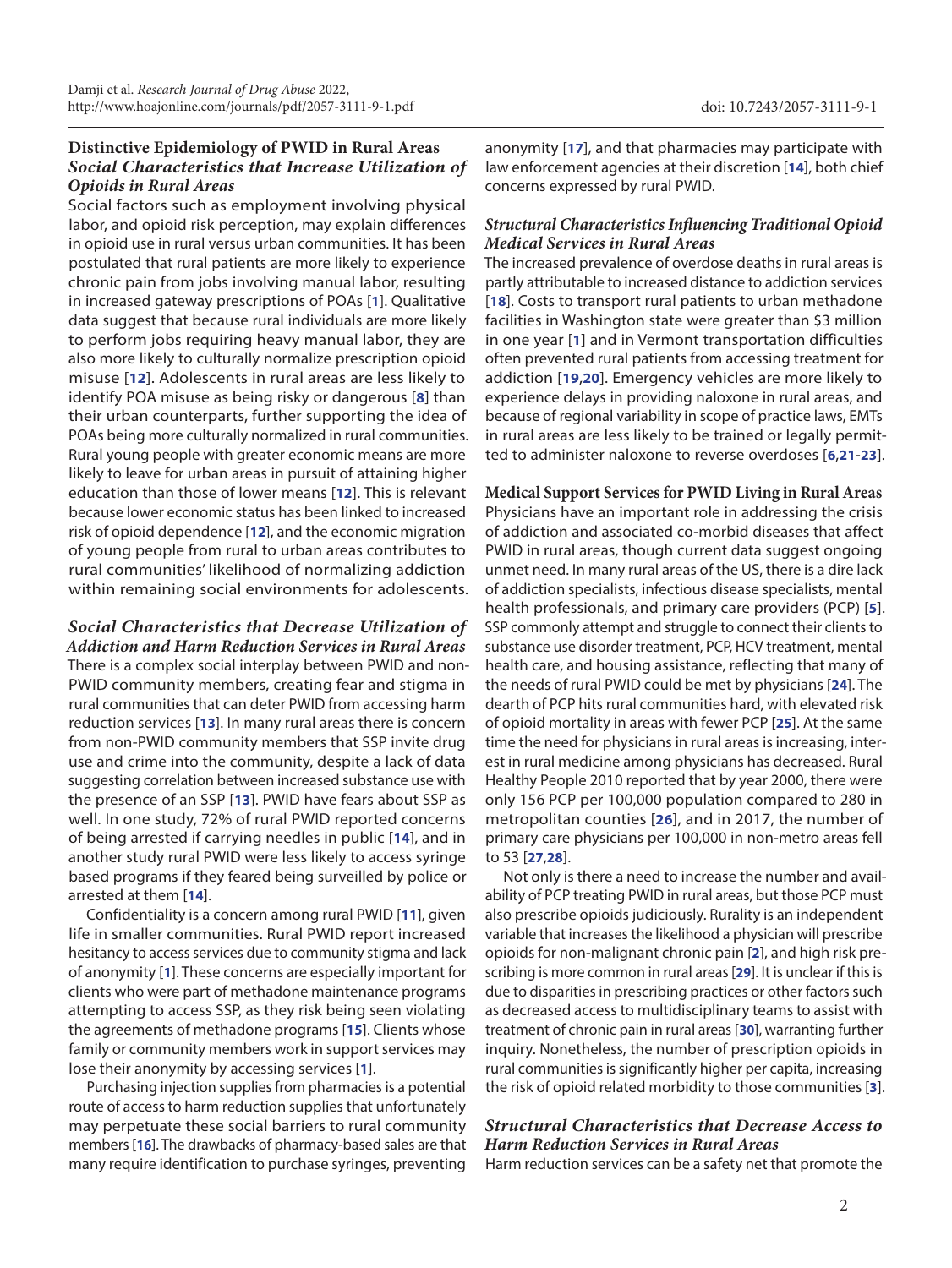# **Distinctive Epidemiology of PWID in Rural Areas** *Social Characteristics that Increase Utilization of Opioids in Rural Areas*

Social factors such as employment involving physical labor, and opioid risk perception, may explain differences in opioid use in rural versus urban communities. It has been postulated that rural patients are more likely to experience chronic pain from jobs involving manual labor, resulting in increased gateway prescriptions of POAs [**[1](#page-4-0)**]. Qualitative data suggest that because rural individuals are more likely to perform jobs requiring heavy manual labor, they are also more likely to culturally normalize prescription opioid misuse [**[12](#page-4-11)**]. Adolescents in rural areas are less likely to identify POA misuse as being risky or dangerous [**[8](#page-4-7)**] than their urban counterparts, further supporting the idea of POAs being more culturally normalized in rural communities. Rural young people with greater economic means are more likely to leave for urban areas in pursuit of attaining higher education than those of lower means [**[12](#page-4-11)**]. This is relevant because lower economic status has been linked to increased risk of opioid dependence [**[12](#page-4-11)**], and the economic migration of young people from rural to urban areas contributes to rural communities' likelihood of normalizing addiction within remaining social environments for adolescents.

*Social Characteristics that Decrease Utilization of Addiction and Harm Reduction Services in Rural Areas* There is a complex social interplay between PWID and non-PWID community members, creating fear and stigma in rural communities that can deter PWID from accessing harm reduction services [**[13](#page-5-0)**]. In many rural areas there is concern from non-PWID community members that SSP invite drug use and crime into the community, despite a lack of data suggesting correlation between increased substance use with the presence of an SSP [**[13](#page-5-0)**]. PWID have fears about SSP as well. In one study, 72% of rural PWID reported concerns of being arrested if carrying needles in public [**[14](#page-5-1)**], and in another study rural PWID were less likely to access syringe based programs if they feared being surveilled by police or arrested at them [**[14](#page-5-1)**].

Confidentiality is a concern among rural PWID [**[11](#page-4-10)**], given life in smaller communities. Rural PWID report increased hesitancy to access services due to community stigma and lack of anonymity [**[1](#page-4-0)**]. These concerns are especially important for clients who were part of methadone maintenance programs attempting to access SSP, as they risk being seen violating the agreements of methadone programs [**[15](#page-5-2)**]. Clients whose family or community members work in support services may lose their anonymity by accessing services [**[1](#page-4-0)**].

Purchasing injection supplies from pharmacies is a potential route of access to harm reduction supplies that unfortunately may perpetuate these social barriers to rural community members [**[16](#page-5-3)**]. The drawbacks of pharmacy-based sales are that many require identification to purchase syringes, preventing

anonymity [**[17](#page-5-4)**], and that pharmacies may participate with law enforcement agencies at their discretion [**[14](#page-5-1)**], both chief concerns expressed by rural PWID.

## *Structural Characteristics Influencing Traditional Opioid Medical Services in Rural Areas*

The increased prevalence of overdose deaths in rural areas is partly attributable to increased distance to addiction services [**[18](#page-5-5)**]. Costs to transport rural patients to urban methadone facilities in Washington state were greater than \$3 million in one year [**[1](#page-4-0)**] and in Vermont transportation difficulties often prevented rural patients from accessing treatment for addiction [**[19](#page-5-6)**,**[20](#page-5-7)**]. Emergency vehicles are more likely to experience delays in providing naloxone in rural areas, and because of regional variability in scope of practice laws, EMTs in rural areas are less likely to be trained or legally permitted to administer naloxone to reverse overdoses [**[6](#page-4-5)**,**[21](#page-5-8)**-**[23](#page-5-9)**].

**Medical Support Services for PWID Living in Rural Areas** Physicians have an important role in addressing the crisis of addiction and associated co-morbid diseases that affect PWID in rural areas, though current data suggest ongoing unmet need. In many rural areas of the US, there is a dire lack of addiction specialists, infectious disease specialists, mental health professionals, and primary care providers (PCP) [**[5](#page-4-4)**]. SSP commonly attempt and struggle to connect their clients to substance use disorder treatment, PCP, HCV treatment, mental health care, and housing assistance, reflecting that many of the needs of rural PWID could be met by physicians [**[24](#page-5-10)**]. The dearth of PCP hits rural communities hard, with elevated risk of opioid mortality in areas with fewer PCP [**[25](#page-5-11)**]. At the same time the need for physicians in rural areas is increasing, interest in rural medicine among physicians has decreased. Rural Healthy People 2010 reported that by year 2000, there were only 156 PCP per 100,000 population compared to 280 in metropolitan counties [**[26](#page-5-12)**], and in 2017, the number of primary care physicians per 100,000 in non-metro areas fell to 53 [**[27](#page-5-13)**,**[28](#page-5-14)**].

Not only is there a need to increase the number and availability of PCP treating PWID in rural areas, but those PCP must also prescribe opioids judiciously. Rurality is an independent variable that increases the likelihood a physician will prescribe opioids for non-malignant chronic pain [**[2](#page-4-1)**], and high risk prescribing is more common in rural areas [**[29](#page-5-15)**]. It is unclear if this is due to disparities in prescribing practices or other factors such as decreased access to multidisciplinary teams to assist with treatment of chronic pain in rural areas [**[30](#page-5-16)**], warranting further inquiry. Nonetheless, the number of prescription opioids in rural communities is significantly higher per capita, increasing the risk of opioid related morbidity to those communities [**[3](#page-4-2)**].

# *Structural Characteristics that Decrease Access to Harm Reduction Services in Rural Areas*

Harm reduction services can be a safety net that promote the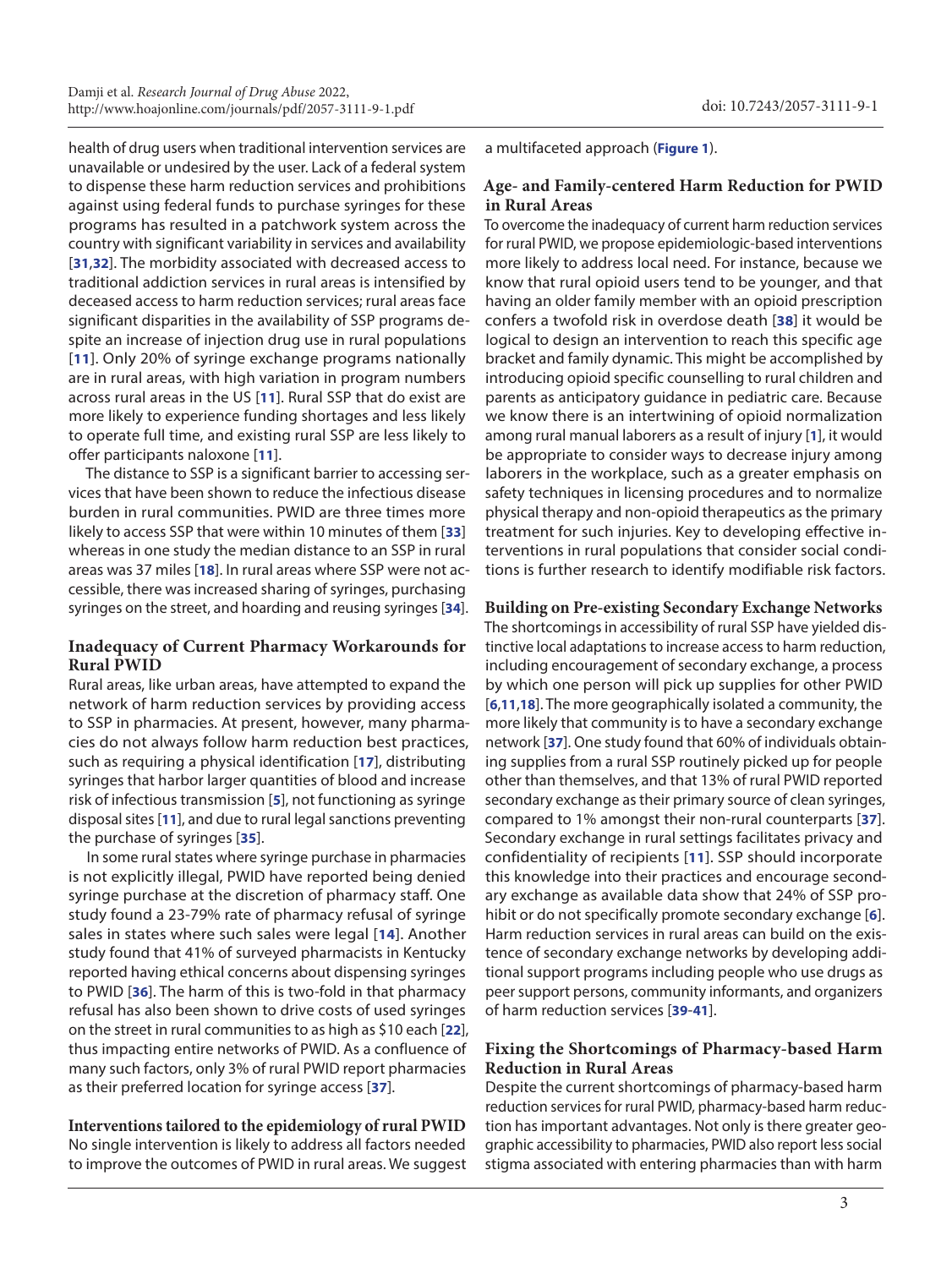health of drug users when traditional intervention services are unavailable or undesired by the user. Lack of a federal system to dispense these harm reduction services and prohibitions against using federal funds to purchase syringes for these programs has resulted in a patchwork system across the country with significant variability in services and availability [**[31](#page-5-17)**,**[32](#page-5-18)**]. The morbidity associated with decreased access to traditional addiction services in rural areas is intensified by deceased access to harm reduction services; rural areas face significant disparities in the availability of SSP programs despite an increase of injection drug use in rural populations [**[11](#page-4-10)**]. Only 20% of syringe exchange programs nationally are in rural areas, with high variation in program numbers across rural areas in the US [**[11](#page-4-10)**]. Rural SSP that do exist are more likely to experience funding shortages and less likely to operate full time, and existing rural SSP are less likely to offer participants naloxone [**[11](#page-4-10)**].

The distance to SSP is a significant barrier to accessing services that have been shown to reduce the infectious disease burden in rural communities. PWID are three times more likely to access SSP that were within 10 minutes of them [**[33](#page-5-19)**] whereas in one study the median distance to an SSP in rural areas was 37 miles [**[18](#page-5-5)**]. In rural areas where SSP were not accessible, there was increased sharing of syringes, purchasing syringes on the street, and hoarding and reusing syringes [**[34](#page-5-20)**].

## **Inadequacy of Current Pharmacy Workarounds for Rural PWID**

Rural areas, like urban areas, have attempted to expand the network of harm reduction services by providing access to SSP in pharmacies. At present, however, many pharmacies do not always follow harm reduction best practices, such as requiring a physical identification [**[17](#page-5-4)**], distributing syringes that harbor larger quantities of blood and increase risk of infectious transmission [**[5](#page-4-4)**], not functioning as syringe disposal sites [**[11](#page-4-10)**], and due to rural legal sanctions preventing the purchase of syringes [**[35](#page-5-21)**].

In some rural states where syringe purchase in pharmacies is not explicitly illegal, PWID have reported being denied syringe purchase at the discretion of pharmacy staff. One study found a 23-79% rate of pharmacy refusal of syringe sales in states where such sales were legal [**[14](#page-5-1)**]. Another study found that 41% of surveyed pharmacists in Kentucky reported having ethical concerns about dispensing syringes to PWID [**[36](#page-5-22)**]. The harm of this is two-fold in that pharmacy refusal has also been shown to drive costs of used syringes on the street in rural communities to as high as \$10 each [**[22](#page-5-23)**], thus impacting entire networks of PWID. As a confluence of many such factors, only 3% of rural PWID report pharmacies as their preferred location for syringe access [**[37](#page-5-24)**].

## **Interventions tailored to the epidemiology of rural PWID**

No single intervention is likely to address all factors needed to improve the outcomes of PWID in rural areas. We suggest a multifaceted approach (**[Figure 1](#page-3-0)**).

## **Age- and Family-centered Harm Reduction for PWID in Rural Areas**

To overcome the inadequacy of current harm reduction services for rural PWID, we propose epidemiologic-based interventions more likely to address local need. For instance, because we know that rural opioid users tend to be younger, and that having an older family member with an opioid prescription confers a twofold risk in overdose death [**[38](#page-5-25)**] it would be logical to design an intervention to reach this specific age bracket and family dynamic. This might be accomplished by introducing opioid specific counselling to rural children and parents as anticipatory guidance in pediatric care. Because we know there is an intertwining of opioid normalization among rural manual laborers as a result of injury [**[1](#page-4-0)**], it would be appropriate to consider ways to decrease injury among laborers in the workplace, such as a greater emphasis on safety techniques in licensing procedures and to normalize physical therapy and non-opioid therapeutics as the primary treatment for such injuries. Key to developing effective interventions in rural populations that consider social conditions is further research to identify modifiable risk factors.

#### **Building on Pre-existing Secondary Exchange Networks**

The shortcomings in accessibility of rural SSP have yielded distinctive local adaptations to increase access to harm reduction, including encouragement of secondary exchange, a process by which one person will pick up supplies for other PWID [**[6](#page-4-5)**,**[11](#page-4-10)**,**[18](#page-5-5)**]. The more geographically isolated a community, the more likely that community is to have a secondary exchange network [**[37](#page-5-24)**]. One study found that 60% of individuals obtaining supplies from a rural SSP routinely picked up for people other than themselves, and that 13% of rural PWID reported secondary exchange as their primary source of clean syringes, compared to 1% amongst their non-rural counterparts [**[37](#page-5-24)**]. Secondary exchange in rural settings facilitates privacy and confidentiality of recipients [**[11](#page-4-10)**]. SSP should incorporate this knowledge into their practices and encourage secondary exchange as available data show that 24% of SSP prohibit or do not specifically promote secondary exchange [**[6](#page-4-5)**]. Harm reduction services in rural areas can build on the existence of secondary exchange networks by developing additional support programs including people who use drugs as peer support persons, community informants, and organizers of harm reduction services [**[39](#page-5-26)**-**[41](#page-5-27)**].

## **Fixing the Shortcomings of Pharmacy-based Harm Reduction in Rural Areas**

Despite the current shortcomings of pharmacy-based harm reduction services for rural PWID, pharmacy-based harm reduction has important advantages. Not only is there greater geographic accessibility to pharmacies, PWID also report less social stigma associated with entering pharmacies than with harm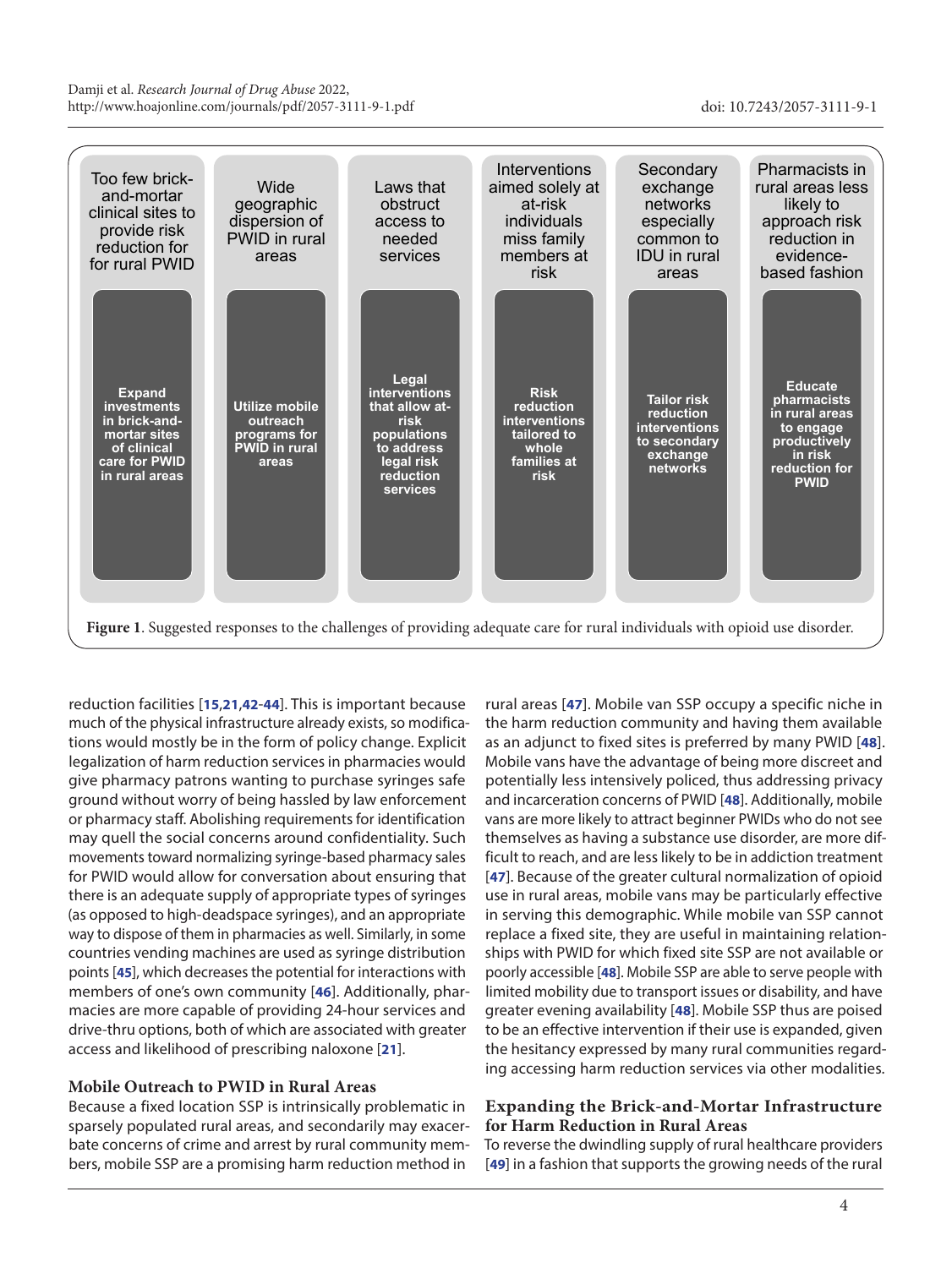<span id="page-3-0"></span>

reduction facilities [**[15](#page-5-2)**,**[21](#page-5-8)**,**[42](#page-5-28)**-**[44](#page-5-29)**]. This is important because much of the physical infrastructure already exists, so modifications would mostly be in the form of policy change. Explicit legalization of harm reduction services in pharmacies would give pharmacy patrons wanting to purchase syringes safe ground without worry of being hassled by law enforcement or pharmacy staff. Abolishing requirements for identification may quell the social concerns around confidentiality. Such movements toward normalizing syringe-based pharmacy sales for PWID would allow for conversation about ensuring that there is an adequate supply of appropriate types of syringes (as opposed to high-deadspace syringes), and an appropriate way to dispose of them in pharmacies as well. Similarly, in some countries vending machines are used as syringe distribution points [**[45](#page-5-30)**], which decreases the potential for interactions with members of one's own community [**[46](#page-5-31)**]. Additionally, pharmacies are more capable of providing 24-hour services and drive-thru options, both of which are associated with greater access and likelihood of prescribing naloxone [**[21](#page-5-8)**].

## **Mobile Outreach to PWID in Rural Areas**

Because a fixed location SSP is intrinsically problematic in sparsely populated rural areas, and secondarily may exacerbate concerns of crime and arrest by rural community members, mobile SSP are a promising harm reduction method in

rural areas [**[47](#page-5-32)**]. Mobile van SSP occupy a specific niche in the harm reduction community and having them available as an adjunct to fixed sites is preferred by many PWID [**[48](#page-5-33)**]. Mobile vans have the advantage of being more discreet and potentially less intensively policed, thus addressing privacy and incarceration concerns of PWID [**[48](#page-5-33)**]. Additionally, mobile vans are more likely to attract beginner PWIDs who do not see themselves as having a substance use disorder, are more difficult to reach, and are less likely to be in addiction treatment [**[47](#page-5-32)**]. Because of the greater cultural normalization of opioid use in rural areas, mobile vans may be particularly effective in serving this demographic. While mobile van SSP cannot replace a fixed site, they are useful in maintaining relationships with PWID for which fixed site SSP are not available or poorly accessible [**[48](#page-5-33)**]. Mobile SSP are able to serve people with limited mobility due to transport issues or disability, and have greater evening availability [**[48](#page-5-33)**]. Mobile SSP thus are poised to be an effective intervention if their use is expanded, given the hesitancy expressed by many rural communities regarding accessing harm reduction services via other modalities.

## **Expanding the Brick-and-Mortar Infrastructure for Harm Reduction in Rural Areas**

To reverse the dwindling supply of rural healthcare providers [**[49](#page-5-34)**] in a fashion that supports the growing needs of the rural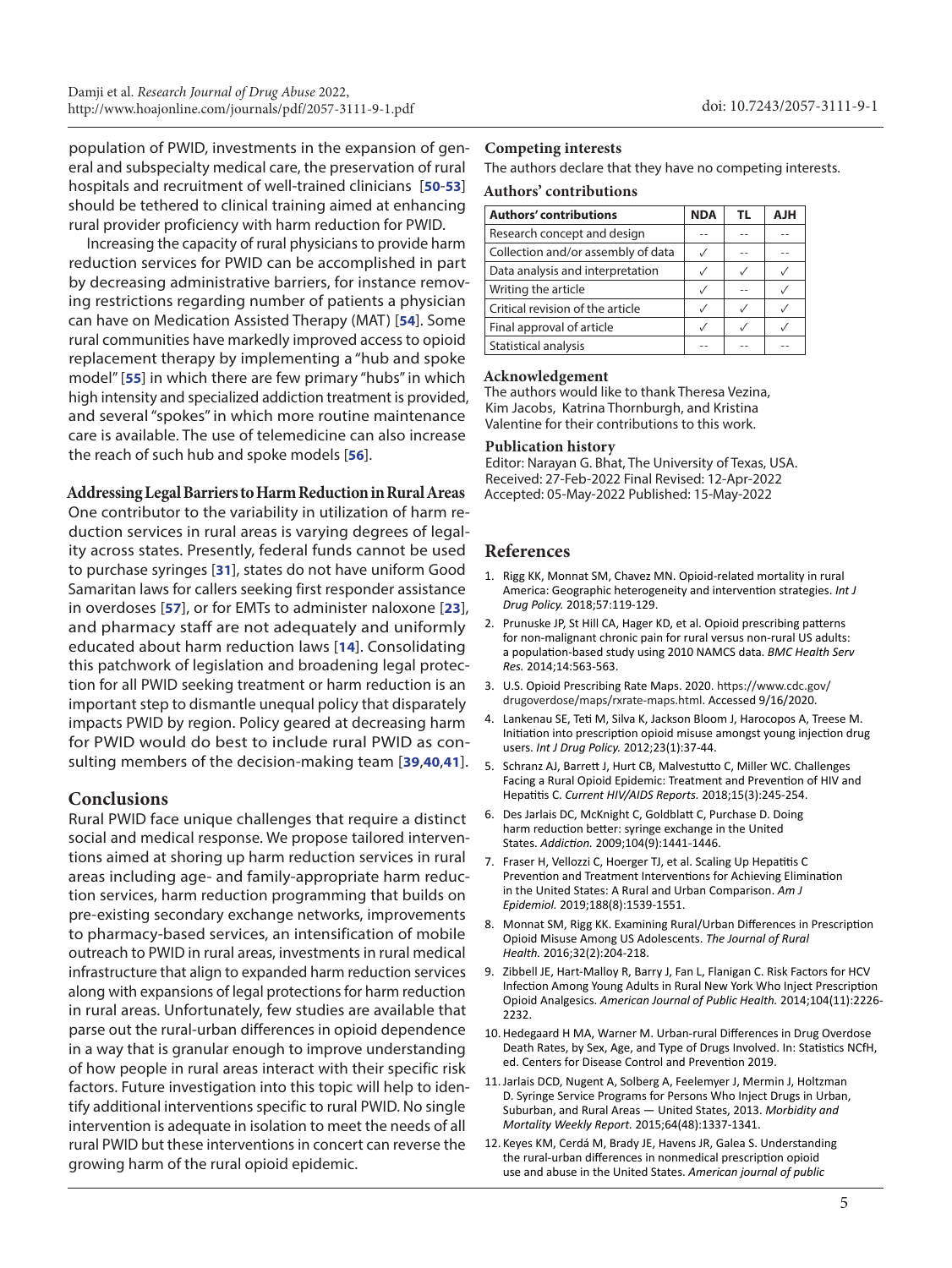population of PWID, investments in the expansion of general and subspecialty medical care, the preservation of rural hospitals and recruitment of well-trained clinicians [**[50](#page-5-35)**-**[53](#page-5-36)**] should be tethered to clinical training aimed at enhancing rural provider proficiency with harm reduction for PWID.

Increasing the capacity of rural physicians to provide harm reduction services for PWID can be accomplished in part by decreasing administrative barriers, for instance removing restrictions regarding number of patients a physician can have on Medication Assisted Therapy (MAT) [**[54](#page-6-0)**]. Some rural communities have markedly improved access to opioid replacement therapy by implementing a "hub and spoke model" [**[55](#page-6-1)**] in which there are few primary "hubs" in which high intensity and specialized addiction treatment is provided, and several "spokes" in which more routine maintenance care is available. The use of telemedicine can also increase the reach of such hub and spoke models [**[56](#page-6-2)**].

## **Addressing Legal Barriers to Harm Reduction in Rural Areas**

One contributor to the variability in utilization of harm reduction services in rural areas is varying degrees of legality across states. Presently, federal funds cannot be used to purchase syringes [**[31](#page-5-17)**], states do not have uniform Good Samaritan laws for callers seeking first responder assistance in overdoses [**[57](#page-6-3)**], or for EMTs to administer naloxone [**[23](#page-5-9)**], and pharmacy staff are not adequately and uniformly educated about harm reduction laws [**[14](#page-5-1)**]. Consolidating this patchwork of legislation and broadening legal protection for all PWID seeking treatment or harm reduction is an important step to dismantle unequal policy that disparately impacts PWID by region. Policy geared at decreasing harm for PWID would do best to include rural PWID as consulting members of the decision-making team [**[39](#page-5-26)**,**[40](#page-5-37)**,**[41](#page-5-27)**].

## **Conclusions**

Rural PWID face unique challenges that require a distinct social and medical response. We propose tailored interventions aimed at shoring up harm reduction services in rural areas including age- and family-appropriate harm reduction services, harm reduction programming that builds on pre-existing secondary exchange networks, improvements to pharmacy-based services, an intensification of mobile outreach to PWID in rural areas, investments in rural medical infrastructure that align to expanded harm reduction services along with expansions of legal protections for harm reduction in rural areas. Unfortunately, few studies are available that parse out the rural-urban differences in opioid dependence in a way that is granular enough to improve understanding of how people in rural areas interact with their specific risk factors. Future investigation into this topic will help to identify additional interventions specific to rural PWID. No single intervention is adequate in isolation to meet the needs of all rural PWID but these interventions in concert can reverse the growing harm of the rural opioid epidemic.

#### **Competing interests**

The authors declare that they have no competing interests.

#### **Authors' contributions**

| <b>Authors' contributions</b>      | <b>NDA</b> | TL | <b>HLA</b> |
|------------------------------------|------------|----|------------|
| Research concept and design        |            |    |            |
| Collection and/or assembly of data |            |    |            |
| Data analysis and interpretation   |            |    |            |
| Writing the article                |            |    |            |
| Critical revision of the article   |            |    |            |
| Final approval of article          |            |    |            |
| Statistical analysis               |            |    |            |

#### **Acknowledgement**

The authors would like to thank Theresa Vezina, Kim Jacobs, Katrina Thornburgh, and Kristina Valentine for their contributions to this work.

#### **Publication history**

Editor: Narayan G. Bhat, The University of Texas, USA. Received: 27-Feb-2022 Final Revised: 12-Apr-2022 Accepted: 05-May-2022 Published: 15-May-2022

## **References**

- <span id="page-4-0"></span>1. Rigg KK, Monnat SM, Chavez MN. Opioid-related mortality in rural America: Geographic heterogeneity and intervention strategies. *Int J Drug Policy.* 2018;57:119-129.
- <span id="page-4-1"></span>2. Prunuske JP, St Hill CA, Hager KD, et al. Opioid prescribing patterns for non-malignant chronic pain for rural versus non-rural US adults: a population-based study using 2010 NAMCS data. *BMC Health Serv Res.* 2014;14:563-563.
- <span id="page-4-2"></span>3. U.S. Opioid Prescribing Rate Maps. 2020. https://www.cdc.gov/ drugoverdose/maps/rxrate-maps.html. Accessed 9/16/2020.
- <span id="page-4-3"></span>4. Lankenau SE, Teti M, Silva K, Jackson Bloom J, Harocopos A, Treese M. Initiation into prescription opioid misuse amongst young injection drug users. *Int J Drug Policy.* 2012;23(1):37-44.
- <span id="page-4-4"></span>5. Schranz AJ, Barrett J, Hurt CB, Malvestutto C, Miller WC. Challenges Facing a Rural Opioid Epidemic: Treatment and Prevention of HIV and Hepatitis C. *Current HIV/AIDS Reports.* 2018;15(3):245-254.
- <span id="page-4-5"></span>6. Des Jarlais DC, McKnight C, Goldblatt C, Purchase D. Doing harm reduction better: syringe exchange in the United States. *Addiction.* 2009;104(9):1441-1446.
- <span id="page-4-6"></span>7. Fraser H, Vellozzi C, Hoerger TJ, et al. Scaling Up Hepatitis C Prevention and Treatment Interventions for Achieving Elimination in the United States: A Rural and Urban Comparison. *Am J Epidemiol.* 2019;188(8):1539-1551.
- <span id="page-4-7"></span>8. Monnat SM, Rigg KK. Examining Rural/Urban Differences in Prescription Opioid Misuse Among US Adolescents. *The Journal of Rural Health.* 2016;32(2):204-218.
- <span id="page-4-8"></span>9. Zibbell JE, Hart-Malloy R, Barry J, Fan L, Flanigan C. Risk Factors for HCV Infection Among Young Adults in Rural New York Who Inject Prescription Opioid Analgesics. *American Journal of Public Health.* 2014;104(11):2226- 2232.
- <span id="page-4-9"></span>10.Hedegaard H MA, Warner M. Urban-rural Differences in Drug Overdose Death Rates, by Sex, Age, and Type of Drugs Involved. In: Statistics NCfH, ed. Centers for Disease Control and Prevention 2019.
- <span id="page-4-10"></span>11.Jarlais DCD, Nugent A, Solberg A, Feelemyer J, Mermin J, Holtzman D. Syringe Service Programs for Persons Who Inject Drugs in Urban, Suburban, and Rural Areas — United States, 2013. *Morbidity and Mortality Weekly Report.* 2015;64(48):1337-1341.
- <span id="page-4-11"></span>12. Keyes KM, Cerdá M, Brady JE, Havens JR, Galea S. Understanding the rural-urban differences in nonmedical prescription opioid use and abuse in the United States. *American journal of public*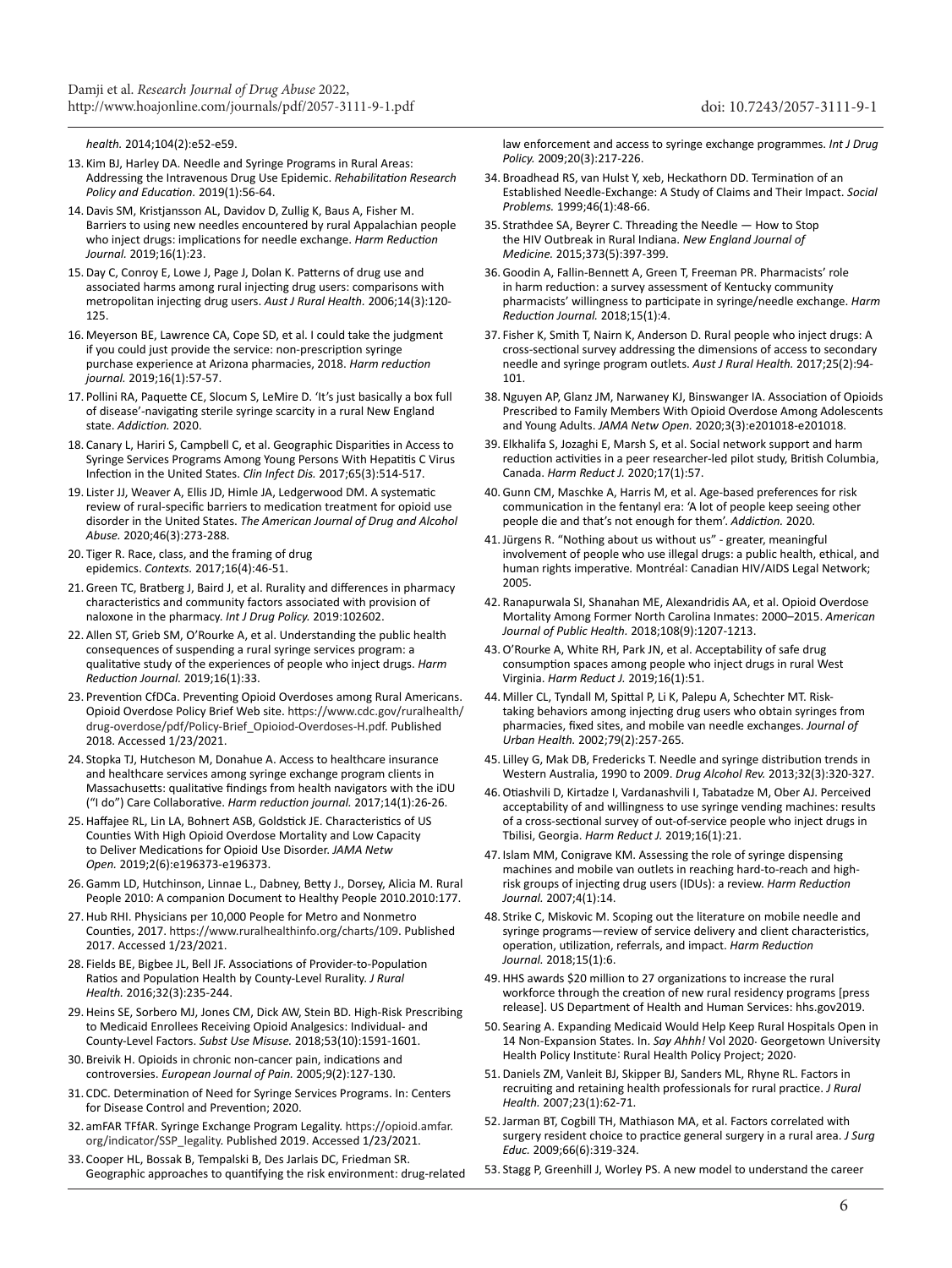<span id="page-5-0"></span>*health.* 2014;104(2):e52-e59.

- 13. Kim BJ, Harley DA. Needle and Syringe Programs in Rural Areas: Addressing the Intravenous Drug Use Epidemic. *Rehabilitation Research Policy and Education.* 2019(1):56-64.
- <span id="page-5-1"></span>14.Davis SM, Kristjansson AL, Davidov D, Zullig K, Baus A, Fisher M. Barriers to using new needles encountered by rural Appalachian people who inject drugs: implications for needle exchange. *Harm Reduction Journal.* 2019;16(1):23.
- <span id="page-5-2"></span>15.Day C, Conroy E, Lowe J, Page J, Dolan K. Patterns of drug use and associated harms among rural injecting drug users: comparisons with metropolitan injecting drug users. *Aust J Rural Health.* 2006;14(3):120- 125.
- <span id="page-5-3"></span>16. Meyerson BE, Lawrence CA, Cope SD, et al. I could take the judgment if you could just provide the service: non-prescription syringe purchase experience at Arizona pharmacies, 2018. *Harm reduction journal.* 2019;16(1):57-57.
- <span id="page-5-4"></span>17. Pollini RA, Paquette CE, Slocum S, LeMire D. 'It's just basically a box full of disease'-navigating sterile syringe scarcity in a rural New England state. *Addiction.* 2020.
- <span id="page-5-5"></span>18. Canary L, Hariri S, Campbell C, et al. Geographic Disparities in Access to Syringe Services Programs Among Young Persons With Hepatitis C Virus Infection in the United States. *Clin Infect Dis.* 2017;65(3):514-517.
- <span id="page-5-6"></span>19. Lister JJ, Weaver A, Ellis JD, Himle JA, Ledgerwood DM. A systematic review of rural-specific barriers to medication treatment for opioid use disorder in the United States. *The American Journal of Drug and Alcohol Abuse.* 2020;46(3):273-288.
- <span id="page-5-7"></span>20. Tiger R. Race, class, and the framing of drug epidemics. *Contexts.* 2017;16(4):46-51.
- <span id="page-5-8"></span>21.Green TC, Bratberg J, Baird J, et al. Rurality and differences in pharmacy characteristics and community factors associated with provision of naloxone in the pharmacy. *Int J Drug Policy.* 2019:102602.
- <span id="page-5-23"></span>22. Allen ST, Grieb SM, O'Rourke A, et al. Understanding the public health consequences of suspending a rural syringe services program: a qualitative study of the experiences of people who inject drugs. *Harm Reduction Journal.* 2019;16(1):33.
- <span id="page-5-9"></span>23. Prevention CfDCa. Preventing Opioid Overdoses among Rural Americans. Opioid Overdose Policy Brief Web site. https://www.cdc.gov/ruralhealth/ drug-overdose/pdf/Policy-Brief\_Opioiod-Overdoses-H.pdf. Published 2018. Accessed 1/23/2021.
- <span id="page-5-10"></span>24. Stopka TJ, Hutcheson M, Donahue A. Access to healthcare insurance and healthcare services among syringe exchange program clients in Massachusetts: qualitative findings from health navigators with the iDU ("I do") Care Collaborative. *Harm reduction journal.* 2017;14(1):26-26.
- <span id="page-5-11"></span>25.Haffajee RL, Lin LA, Bohnert ASB, Goldstick JE. Characteristics of US Counties With High Opioid Overdose Mortality and Low Capacity to Deliver Medications for Opioid Use Disorder. *JAMA Netw Open.* 2019;2(6):e196373-e196373.
- <span id="page-5-12"></span>26.Gamm LD, Hutchinson, Linnae L., Dabney, Betty J., Dorsey, Alicia M. Rural People 2010: A companion Document to Healthy People 2010.2010:177.
- <span id="page-5-13"></span>27.Hub RHI. Physicians per 10,000 People for Metro and Nonmetro Counties, 2017. https://www.ruralhealthinfo.org/charts/109. Published 2017. Accessed 1/23/2021.
- <span id="page-5-14"></span>28. Fields BE, Bigbee JL, Bell JF. Associations of Provider-to-Population Ratios and Population Health by County-Level Rurality. *J Rural Health.* 2016;32(3):235-244.
- <span id="page-5-15"></span>29.Heins SE, Sorbero MJ, Jones CM, Dick AW, Stein BD. High-Risk Prescribing to Medicaid Enrollees Receiving Opioid Analgesics: Individual- and County-Level Factors. *Subst Use Misuse.* 2018;53(10):1591-1601.
- <span id="page-5-16"></span>30. Breivik H. Opioids in chronic non-cancer pain, indications and controversies. *European Journal of Pain.* 2005;9(2):127-130.
- <span id="page-5-17"></span>31. CDC. Determination of Need for Syringe Services Programs. In: Centers for Disease Control and Prevention; 2020.
- <span id="page-5-18"></span>32. amFAR TFfAR. Syringe Exchange Program Legality. https://opioid.amfar. org/indicator/SSP\_legality. Published 2019. Accessed 1/23/2021.
- <span id="page-5-19"></span>33. Cooper HL, Bossak B, Tempalski B, Des Jarlais DC, Friedman SR. Geographic approaches to quantifying the risk environment: drug-related

<span id="page-5-20"></span>law enforcement and access to syringe exchange programmes. *Int J Drug Policy.* 2009;20(3):217-226.

- 34. Broadhead RS, van Hulst Y, xeb, Heckathorn DD. Termination of an Established Needle-Exchange: A Study of Claims and Their Impact. *Social Problems.* 1999;46(1):48-66.
- <span id="page-5-21"></span>35. Strathdee SA, Beyrer C. Threading the Needle — How to Stop the HIV Outbreak in Rural Indiana. *New England Journal of Medicine.* 2015;373(5):397-399.
- <span id="page-5-22"></span>36.Goodin A, Fallin-Bennett A, Green T, Freeman PR. Pharmacists' role in harm reduction: a survey assessment of Kentucky community pharmacists' willingness to participate in syringe/needle exchange. *Harm Reduction Journal.* 2018;15(1):4.
- <span id="page-5-24"></span>37. Fisher K, Smith T, Nairn K, Anderson D. Rural people who inject drugs: A cross-sectional survey addressing the dimensions of access to secondary needle and syringe program outlets. *Aust J Rural Health.* 2017;25(2):94- 101.
- <span id="page-5-25"></span>38.Nguyen AP, Glanz JM, Narwaney KJ, Binswanger IA. Association of Opioids Prescribed to Family Members With Opioid Overdose Among Adolescents and Young Adults. *JAMA Netw Open.* 2020;3(3):e201018-e201018.
- <span id="page-5-26"></span>39. Elkhalifa S, Jozaghi E, Marsh S, et al. Social network support and harm reduction activities in a peer researcher-led pilot study, British Columbia, Canada. *Harm Reduct J.* 2020;17(1):57.
- <span id="page-5-37"></span>40.Gunn CM, Maschke A, Harris M, et al. Age-based preferences for risk communication in the fentanyl era: 'A lot of people keep seeing other people die and that's not enough for them'. *Addiction.* 2020.
- <span id="page-5-27"></span>41.Jürgens R. "Nothing about us without us" - greater, meaningful involvement of people who use illegal drugs: a public health, ethical, and human rights imperative*.* Montréal: Canadian HIV/AIDS Legal Network; 2005.
- <span id="page-5-28"></span>42. Ranapurwala SI, Shanahan ME, Alexandridis AA, et al. Opioid Overdose Mortality Among Former North Carolina Inmates: 2000–2015. *American Journal of Public Health.* 2018;108(9):1207-1213.
- 43.O'Rourke A, White RH, Park JN, et al. Acceptability of safe drug consumption spaces among people who inject drugs in rural West Virginia. *Harm Reduct J.* 2019;16(1):51.
- <span id="page-5-29"></span>44. Miller CL, Tyndall M, Spittal P, Li K, Palepu A, Schechter MT. Risktaking behaviors among injecting drug users who obtain syringes from pharmacies, fixed sites, and mobile van needle exchanges. *Journal of Urban Health.* 2002;79(2):257-265.
- <span id="page-5-30"></span>45. Lilley G, Mak DB, Fredericks T. Needle and syringe distribution trends in Western Australia, 1990 to 2009. *Drug Alcohol Rev.* 2013;32(3):320-327.
- <span id="page-5-31"></span>46.Otiashvili D, Kirtadze I, Vardanashvili I, Tabatadze M, Ober AJ. Perceived acceptability of and willingness to use syringe vending machines: results of a cross-sectional survey of out-of-service people who inject drugs in Tbilisi, Georgia. *Harm Reduct J.* 2019;16(1):21.
- <span id="page-5-32"></span>47. Islam MM, Conigrave KM. Assessing the role of syringe dispensing machines and mobile van outlets in reaching hard-to-reach and highrisk groups of injecting drug users (IDUs): a review. *Harm Reduction Journal.* 2007;4(1):14.
- <span id="page-5-33"></span>48. Strike C, Miskovic M. Scoping out the literature on mobile needle and syringe programs—review of service delivery and client characteristics, operation, utilization, referrals, and impact. *Harm Reduction Journal.* 2018;15(1):6.
- <span id="page-5-34"></span>49.HHS awards \$20 million to 27 organizations to increase the rural workforce through the creation of new rural residency programs [press release]. US Department of Health and Human Services: hhs.gov2019.
- <span id="page-5-35"></span>50. Searing A. Expanding Medicaid Would Help Keep Rural Hospitals Open in 14 Non-Expansion States. In. *Say Ahhh!* Vol 2020. Georgetown University Health Policy Institute: Rural Health Policy Project; 2020.
- 51.Daniels ZM, Vanleit BJ, Skipper BJ, Sanders ML, Rhyne RL. Factors in recruiting and retaining health professionals for rural practice. *J Rural Health.* 2007;23(1):62-71.
- 52.Jarman BT, Cogbill TH, Mathiason MA, et al. Factors correlated with surgery resident choice to practice general surgery in a rural area. *J Surg Educ.* 2009;66(6):319-324.
- <span id="page-5-36"></span>53. Stagg P, Greenhill J, Worley PS. A new model to understand the career